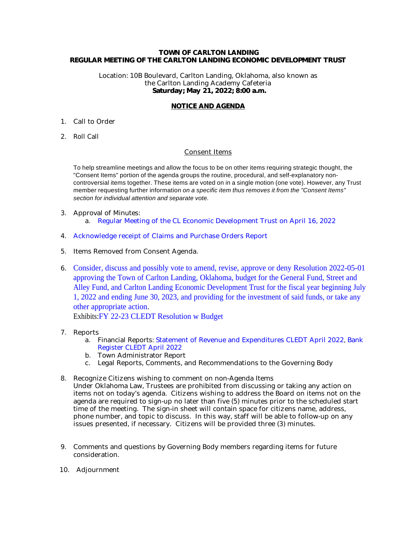#### **TOWN OF CARLTON LANDING REGULAR MEETING OF THE CARLTON LANDING ECONOMIC DEVELOPMENT TRUST**

Location: 10B Boulevard, Carlton Landing, Oklahoma, also known as the Carlton Landing Academy Cafeteria  **Saturday; May 21, 2022; 8:00 a.m.**

### **NOTICE AND AGENDA**

- 1. Call to Order
- 2. Roll Call

#### Consent Items

To help streamline meetings and allow the focus to be on other items requiring strategic thought, the "Consent Items" portion of the agenda groups the routine, procedural, and self-explanatory noncontroversial items together. These items are voted on in a single motion (one vote). However, any Trust member requesting further information on a specific item thus removes it from the "Consent Items" section for individual attention and separate vote.

- 3. Approval of Minutes: a. [Regular Meeting of the CL Economic Development Trust on April 16, 2022](#page-2-0)
- 4. [Acknowledge receipt of Claims and Purchase Orders Report](#page-8-0)
- 5. Items Removed from Consent Agenda.
- 6. [Consider, discuss and possibly vote to amend, revise, approve or deny Resolution 2022-05-01](#page-9-0)  [approving the Town of Carlton Landing, Oklahoma, budget for the General Fund, Street and](#page-9-0)  [Alley Fund, and Carlton Landing Economic Development Trust for the fiscal year beginning July](#page-9-0) [1, 2022 and ending June 30, 2023, and providing for the investment of said funds, or take any](#page-9-0) [other appropriate action.](#page-9-0)

Exhibits:[FY 22-23 CLEDT Resolution w Budget](#page-11-0)

- 7. Reports
	- a. Financial Reports: [Statement of Revenue and Expenditures CLEDT April 2022](#page-15-0), [Bank](#page-17-0)  [Register CLEDT April 2022](#page-17-0)
	- b. Town Administrator Report
	- c. Legal Reports, Comments, and Recommendations to the Governing Body
- 8. Recognize Citizens wishing to comment on non-Agenda Items Under Oklahoma Law, Trustees are prohibited from discussing or taking any action on items not on today's agenda. Citizens wishing to address the Board on items not on the agenda are required to sign-up no later than five (5) minutes prior to the scheduled start time of the meeting. The sign-in sheet will contain space for citizens name, address, phone number, and topic to discuss. In this way, staff will be able to follow-up on any issues presented, if necessary. Citizens will be provided three (3) minutes.
- 9. Comments and questions by Governing Body members regarding items for future consideration.
- 10. Adjournment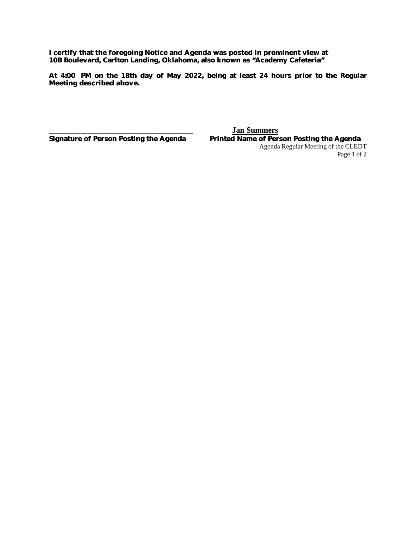**I certify that the foregoing Notice and Agenda was posted in prominent view at 10B Boulevard, Carlton Landing, Oklahoma, also known as "Academy Cafeteria"** 

**At 4:00 PM on the 18th day of May 2022, being at least 24 hours prior to the Regular Meeting described above.**

**\_\_\_\_\_\_\_\_\_\_\_\_\_\_\_\_\_\_\_\_\_\_\_\_\_\_\_\_\_\_\_\_\_\_\_\_\_\_\_\_\_ Jan Summers**

Printed Name of Person Posting the Agenda Agenda Regular Meeting of the CLEDT Page 1 of 2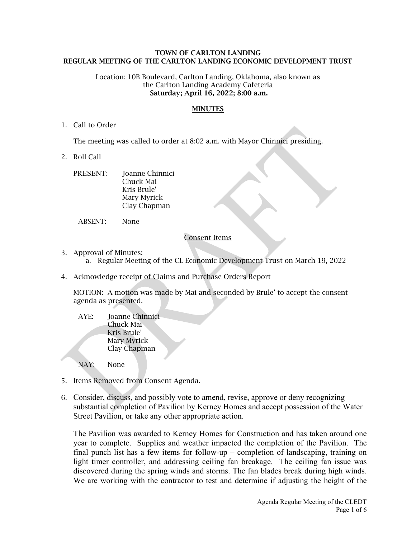## <span id="page-2-0"></span>**TOWN OF CARLTON LANDING REGULAR MEETING OF THE CARLTON LANDING ECONOMIC DEVELOPMENT TRUST**

#### Location: 10B Boulevard, Carlton Landing, Oklahoma, also known as the Carlton Landing Academy Cafeteria  **Saturday; April 16, 2022; 8:00 a.m.**

## **MINUTES**

## 1. Call to Order

The meeting was called to order at 8:02 a.m. with Mayor Chinnici presiding.

- 2. Roll Call
	- PRESENT: Joanne Chinnici Chuck Mai Kris Brule' Mary Myrick Clay Chapman

ABSENT: None

## Consent Items

- 3. Approval of Minutes:
	- a. Regular Meeting of the CL Economic Development Trust on March 19, 2022
- 4. Acknowledge receipt of Claims and Purchase Orders Report

MOTION: A motion was made by Mai and seconded by Brule' to accept the consent agenda as presented.

AYE: Joanne Chinnici Chuck Mai Kris Brule' Mary Myrick Clay Chapman

NAY: None

- 5. Items Removed from Consent Agenda.
- 6. Consider, discuss, and possibly vote to amend, revise, approve or deny recognizing substantial completion of Pavilion by Kerney Homes and accept possession of the Water Street Pavilion, or take any other appropriate action.

The Pavilion was awarded to Kerney Homes for Construction and has taken around one year to complete. Supplies and weather impacted the completion of the Pavilion. The final punch list has a few items for follow-up – completion of landscaping, training on light timer controller, and addressing ceiling fan breakage. The ceiling fan issue was discovered during the spring winds and storms. The fan blades break during high winds. We are working with the contractor to test and determine if adjusting the height of the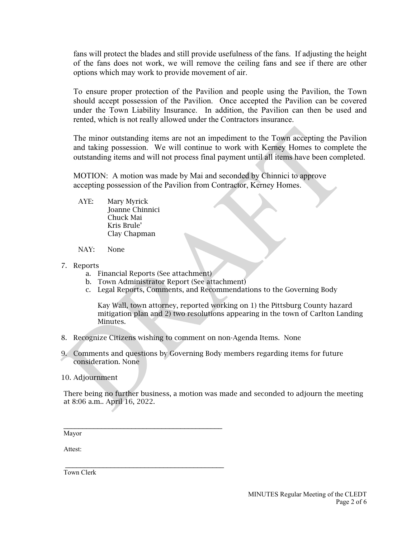fans will protect the blades and still provide usefulness of the fans. If adjusting the height of the fans does not work, we will remove the ceiling fans and see if there are other options which may work to provide movement of air.

To ensure proper protection of the Pavilion and people using the Pavilion, the Town should accept possession of the Pavilion. Once accepted the Pavilion can be covered under the Town Liability Insurance. In addition, the Pavilion can then be used and rented, which is not really allowed under the Contractors insurance.

The minor outstanding items are not an impediment to the Town accepting the Pavilion and taking possession. We will continue to work with Kerney Homes to complete the outstanding items and will not process final payment until all items have been completed.

MOTION: A motion was made by Mai and seconded by Chinnici to approve accepting possession of the Pavilion from Contractor, Kerney Homes.

AYE: Mary Myrick Joanne Chinnici Chuck Mai Kris Brule' Clay Chapman

NAY: None

- 7. Reports
	- a. Financial Reports (See attachment)

 $\mathcal{L}_\mathcal{L}$  , where  $\mathcal{L}_\mathcal{L}$  is the set of the set of the set of the set of the set of the set of the set of the set of the set of the set of the set of the set of the set of the set of the set of the set of the

\_\_\_\_\_\_\_\_\_\_\_\_\_\_\_\_\_\_\_\_\_\_\_\_\_\_\_\_\_\_\_\_\_\_\_\_\_\_\_\_\_\_

- b. Town Administrator Report (See attachment)
- c. Legal Reports, Comments, and Recommendations to the Governing Body

Kay Wall, town attorney, reported working on 1) the Pittsburg County hazard mitigation plan and 2) two resolutions appearing in the town of Carlton Landing Minutes.

- 8. Recognize Citizens wishing to comment on non-Agenda Items. None
- 9. Comments and questions by Governing Body members regarding items for future consideration. None

10. Adjournment

There being no further business, a motion was made and seconded to adjourn the meeting at 8:06 a.m.. April 16, 2022.

Mayor

Attest:

Town Clerk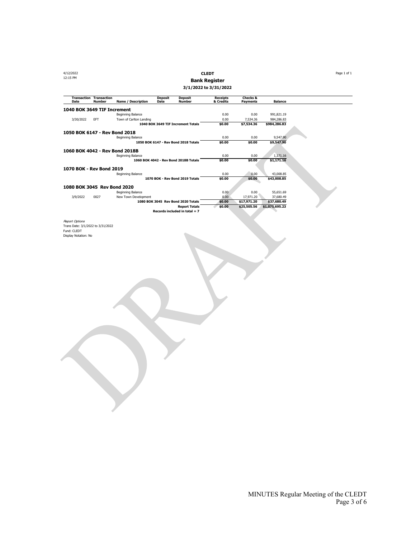## 4/12/2022 **CLEDT** Page 1 of 1 12:15 PM **Bank Register**

**3/1/2022 to 3/31/2022**

| Date                              | <b>Transaction Transaction</b><br><b>Number</b> | <b>Name / Description</b> | Deposit<br>Date | <b>Deposit</b><br><b>Number</b>       | <b>Receipts</b><br>& Credits | <b>Checks &amp;</b><br><b>Payments</b> | <b>Balance</b> |  |
|-----------------------------------|-------------------------------------------------|---------------------------|-----------------|---------------------------------------|------------------------------|----------------------------------------|----------------|--|
| 1040 BOK 3649 TIF Increment       |                                                 |                           |                 |                                       |                              |                                        |                |  |
|                                   |                                                 | Beginning Balance         |                 |                                       | 0.00                         | 0.00                                   | 991,821.19     |  |
| 3/30/2022                         | <b>EFT</b>                                      | Town of Carlton Landing   |                 |                                       | 0.00                         | 7,534.36                               | 984,286.83     |  |
|                                   |                                                 |                           |                 | 1040 BOK 3649 TIF Increment Totals    | \$0.00                       | \$7,534.36                             | \$984,286.83   |  |
| 1050 BOK 6147 - Rev Bond 2018     |                                                 |                           |                 |                                       |                              |                                        |                |  |
|                                   |                                                 | Beginning Balance         |                 |                                       | 0.00                         | 0.00                                   | 9,547.90       |  |
|                                   |                                                 |                           |                 | 1050 BOK 6147 - Rev Bond 2018 Totals  | \$0.00                       | \$0.00                                 | \$9,547.90     |  |
|                                   |                                                 |                           |                 |                                       |                              |                                        |                |  |
| 1060 BOK 4042 - Rev Bond 2018B    |                                                 |                           |                 |                                       |                              |                                        |                |  |
|                                   |                                                 | Beginning Balance         |                 |                                       | 0.00                         | 0.00                                   | 1,171.16       |  |
|                                   |                                                 |                           |                 | 1060 BOK 4042 - Rev Bond 2018B Totals | \$0.00                       | \$0.00                                 | \$1,171.16     |  |
| 1070 BOK - Rev Bond 2019          |                                                 |                           |                 |                                       |                              |                                        |                |  |
|                                   |                                                 | Beginning Balance         |                 |                                       | 0.00                         | 0.00                                   | 43,008.85      |  |
|                                   |                                                 |                           |                 | 1070 BOK - Rev Bond 2019 Totals       | \$0.00                       | \$0.00                                 | \$43,008.85    |  |
| 1080 BOK 3045 Rev Bond 2020       |                                                 |                           |                 |                                       |                              |                                        |                |  |
|                                   |                                                 | Beginning Balance         |                 |                                       | 0.00                         | 0.00                                   | 55,651.69      |  |
| 3/9/2022                          | 0027                                            | New Town Development      |                 |                                       | 0.00                         | 17,971.20                              | 37,680.49      |  |
|                                   |                                                 |                           |                 | 1080 BOK 3045 Rev Bond 2020 Totals    | \$0.00                       | \$17,971.20                            | \$37,680.49    |  |
|                                   |                                                 |                           |                 | <b>Report Totals</b>                  | \$0.00                       | \$25,505.56                            | \$1,075,695.23 |  |
|                                   |                                                 |                           |                 | Records included in total $= 7$       |                              |                                        |                |  |
|                                   |                                                 |                           |                 |                                       |                              |                                        |                |  |
| <b>Report Options</b>             |                                                 |                           |                 |                                       |                              |                                        |                |  |
| Trans Date: 3/1/2022 to 3/31/2022 |                                                 |                           |                 |                                       |                              |                                        |                |  |
| Fund: CLEDT                       |                                                 |                           |                 |                                       |                              |                                        |                |  |
| Display Notation: No              |                                                 |                           |                 |                                       |                              |                                        |                |  |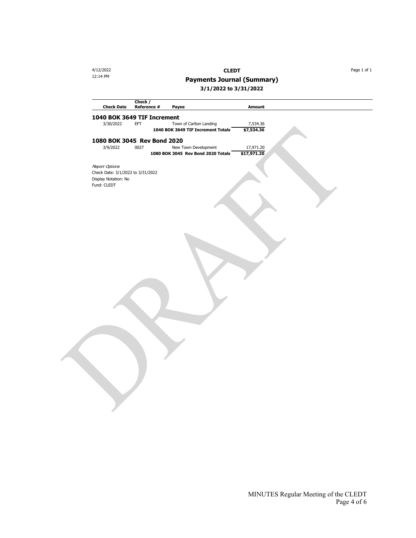4/12/2022 **CLEDT** Page 1 of 1

12:14 PM **Payments Journal (Summary)**

**3/1/2022 to 3/31/2022**

| <b>Check Date</b>                                         | Check /<br>Reference #<br>Payee       | <b>Amount</b> |  |
|-----------------------------------------------------------|---------------------------------------|---------------|--|
|                                                           | 1040 BOK 3649 TIF Increment           |               |  |
| 3/30/2022                                                 | <b>EFT</b><br>Town of Carlton Landing | 7,534.36      |  |
|                                                           | 1040 BOK 3649 TIF Increment Totals    | \$7,534.36    |  |
|                                                           | 1080 BOK 3045 Rev Bond 2020           |               |  |
| 3/9/2022                                                  | 0027<br>New Town Development          | 17,971.20     |  |
|                                                           | 1080 BOK 3045 Rev Bond 2020 Totals    | \$17,971.20   |  |
|                                                           |                                       |               |  |
| <b>Report Options</b>                                     |                                       |               |  |
| Check Date: 3/1/2022 to 3/31/2022<br>Display Notation: No |                                       |               |  |
| Fund: CLEDT                                               |                                       |               |  |
|                                                           |                                       |               |  |
|                                                           |                                       |               |  |
|                                                           |                                       |               |  |
|                                                           |                                       |               |  |
|                                                           |                                       |               |  |
|                                                           |                                       |               |  |
|                                                           |                                       |               |  |
|                                                           |                                       |               |  |
|                                                           |                                       |               |  |
|                                                           |                                       |               |  |
|                                                           |                                       |               |  |
|                                                           |                                       |               |  |
|                                                           |                                       |               |  |
|                                                           |                                       |               |  |
|                                                           |                                       |               |  |
|                                                           |                                       |               |  |
|                                                           |                                       |               |  |
|                                                           |                                       |               |  |
|                                                           |                                       |               |  |
|                                                           |                                       |               |  |
|                                                           |                                       |               |  |
|                                                           |                                       |               |  |
|                                                           |                                       |               |  |
|                                                           |                                       |               |  |
|                                                           |                                       |               |  |
|                                                           |                                       |               |  |
|                                                           |                                       |               |  |
|                                                           |                                       |               |  |
|                                                           |                                       |               |  |
|                                                           |                                       |               |  |
|                                                           |                                       |               |  |
|                                                           |                                       |               |  |
|                                                           |                                       |               |  |
|                                                           |                                       |               |  |

MINUTES Regular Meeting of the CLEDT Page 4 of 6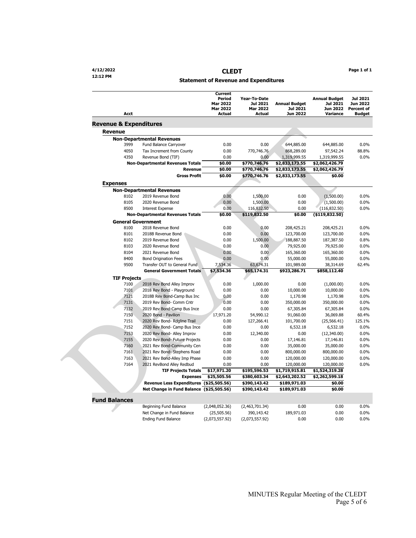#### **Statement of Revenue and Expenditures**

| Acct                              |                                          | <b>Current</b><br>Period<br><b>Mar 2022</b><br><b>Mar 2022</b><br>Actual | Year-To-Date<br>Jul 2021<br>Mar 2022<br><b>Actual</b> | <b>Annual Budget</b><br><b>Jul 2021</b><br>Jun 2022 | <b>Annual Budget</b><br>Jul 2021<br><b>Jun 2022</b><br>Variance | Jul 2021<br>Jun 2022<br><b>Percent of</b><br><b>Budget</b> |
|-----------------------------------|------------------------------------------|--------------------------------------------------------------------------|-------------------------------------------------------|-----------------------------------------------------|-----------------------------------------------------------------|------------------------------------------------------------|
| <b>Revenue &amp; Expenditures</b> |                                          |                                                                          |                                                       |                                                     |                                                                 |                                                            |
| <b>Revenue</b>                    |                                          |                                                                          |                                                       |                                                     |                                                                 |                                                            |
|                                   | <b>Non-Departmental Revenues</b>         |                                                                          |                                                       |                                                     |                                                                 |                                                            |
| 3999                              | Fund Balance Carryover                   | 0.00                                                                     | 0.00                                                  | 644,885.00                                          | 644,885.00                                                      | 0.0%                                                       |
| 4050                              | Tax Increment from County                | 0.00                                                                     | 770,746.76                                            | 868,289.00                                          | 97,542.24                                                       | 88.8%                                                      |
| 4350                              | Revenue Bond (TIF)                       | 0.00                                                                     | 0.00                                                  | 1,319,999.55                                        | 1,319,999.55                                                    | 0.0%                                                       |
|                                   | <b>Non-Departmental Revenues Totals</b>  | \$0.00                                                                   | \$770,746.76                                          | \$2,833,173.55                                      | \$2,062,426.79                                                  |                                                            |
|                                   | Revenue                                  | \$0.00                                                                   | \$770,746.76                                          | \$2,833,173.55                                      | \$2,062,426.79                                                  |                                                            |
|                                   | <b>Gross Profit</b>                      | \$0.00                                                                   | \$770,746.76                                          | \$2,833,173.55                                      | \$0.00                                                          |                                                            |
| <b>Expenses</b>                   |                                          |                                                                          |                                                       |                                                     |                                                                 |                                                            |
|                                   | <b>Non-Departmental Revenues</b>         |                                                                          |                                                       |                                                     |                                                                 |                                                            |
| 8102                              | 2019 Revenue Bond                        | 0.00                                                                     | 1,500.00                                              | 0.00                                                | (1,500.00)                                                      | 0.0%                                                       |
| 8105                              | 2020 Revenue Bond                        | 0.00                                                                     | 1,500.00                                              | 0.00                                                | (1,500.00)                                                      | $0.0\%$                                                    |
| 8500                              | <b>Interest Expense</b>                  | 0.00                                                                     | 116,832.50                                            | 0.00                                                | (116, 832.50)                                                   | $0.0\%$                                                    |
|                                   | <b>Non-Departmental Revenues Totals</b>  | \$0.00                                                                   | \$119,832.50                                          | \$0.00                                              | ( \$119, 832.50)                                                |                                                            |
|                                   | <b>General Government</b>                |                                                                          |                                                       |                                                     |                                                                 |                                                            |
| 8100                              | 2018 Revenue Bond                        | 0.00                                                                     | 0.00                                                  | 208,425.21                                          | 208,425.21                                                      | 0.0%                                                       |
| 8101                              | 2018B Revenue Bond                       | 0.00                                                                     | 0.00                                                  | 123,700.00                                          | 123,700.00                                                      | 0.0%                                                       |
| 8102                              | 2019 Revenue Bond                        | 0.00                                                                     | 1,500.00                                              | 188,887.50                                          | 187,387.50                                                      | 0.8%                                                       |
| 8103                              | 2020 Revenue Bond                        | 0.00                                                                     | 0.00                                                  | 79,925.00                                           | 79,925.00                                                       | 0.0%                                                       |
| 8104                              | 2021 Revenue Bond                        | 0.00                                                                     | 0.00                                                  | 165,360.00                                          | 165,360.00                                                      | 0.0%                                                       |
| 8400                              | <b>Bond Origination Fees</b>             | 0.00                                                                     | 0.00                                                  | 55,000.00                                           | 55,000.00                                                       | 0.0%                                                       |
| 9500                              | Transfer OUT to General Fund             | 7,534.36                                                                 | 63,674.31                                             | 101,989.00                                          | 38,314.69                                                       | 62.4%                                                      |
|                                   | <b>General Government Totals</b>         | \$7,534.36                                                               | \$65,174.31                                           | \$923,286.71                                        | \$858,112.40                                                    |                                                            |
| <b>TIF Projects</b>               |                                          |                                                                          |                                                       |                                                     |                                                                 |                                                            |
| 7100                              | 2018 Rev Bond Alley Improv               | 0.00                                                                     | 1,000.00                                              | 0.00                                                | (1,000.00)                                                      | 0.0%                                                       |
| 7101                              | 2018 Rev Bond - Playground               | 0.00                                                                     | 0.00                                                  | 10,000.00                                           | 10,000.00                                                       | 0.0%                                                       |
| 7121                              | 2018B Rev Bond-Camp Bus Inc              | 0.00                                                                     | 0.00                                                  | 1,170.98                                            | 1,170.98                                                        | 0.0%                                                       |
| 7131                              | 2019 Rev Bond- Comm Cntr                 | 0.00                                                                     | 0.00                                                  | 350,000.00                                          | 350,000.00                                                      | 0.0%                                                       |
| 7132                              | 2019 Rev Bond-Camp Bus Ince              | 0.00                                                                     | 0.00                                                  | 67,305.84                                           | 67,305.84                                                       | $0.0\%$                                                    |
| 7150                              | 2020 Bond - Pavilion                     | 17,971.20                                                                | 54,990.12                                             | 91,060.00                                           | 36,069.88                                                       | 60.4%                                                      |
| 7151                              | 2020 Rev Bond- Rdgline Trail             | 0.00                                                                     | 127,266.41                                            | 101,700.00                                          | (25, 566.41)                                                    | 125.1%                                                     |
| 7152                              | 2020 Rev Bond- Camp Bus Ince             | 0.00                                                                     | 0.00                                                  | 6,532.18                                            | 6,532.18                                                        | 0.0%                                                       |
| 7153                              | 2020 Rev Bond- Alley Improv              | 0.00                                                                     | 12,340.00                                             | 0.00                                                | (12,340.00)                                                     | 0.0%                                                       |
| 7155                              | 2020 Rev Bond- Future Projects           | 0.00                                                                     | 0.00                                                  | 17,146.81                                           | 17,146.81                                                       | 0.0%                                                       |
| 7160                              | 2021 Rev Bond-Community Cen              | 0.00                                                                     | 0.00                                                  | 35,000.00                                           | 35,000.00                                                       | 0.0%                                                       |
| 7161                              | 2021 Rev Bond- Stephens Road             | 0.00                                                                     | 0.00                                                  | 800,000.00                                          | 800,000.00                                                      | 0.0%                                                       |
| 7163                              | 2021 Rev Bond-Alley Imp Phase            | 0.00                                                                     | 0.00                                                  | 120,000.00                                          | 120,000.00                                                      | 0.0%                                                       |
| 7164                              | 2021 RevBond Alley Redbud                | 0.00                                                                     | 0.00                                                  | 120,000.00                                          | 120,000.00                                                      | $0.0\%$                                                    |
|                                   | <b>TIF Projects Totals</b>               | \$17,971.20                                                              | \$195,596.53                                          | \$1,719,915.81                                      | \$1,524,319.28                                                  |                                                            |
|                                   | <b>Expenses</b>                          | \$25,505.56                                                              | \$380,603.34                                          | \$2,643,202.52                                      | \$2,262,599.18                                                  |                                                            |
|                                   | Revenue Less Expenditures (\$25,505.56)  |                                                                          | \$390,143.42                                          | \$189,971.03                                        | \$0.00                                                          |                                                            |
|                                   | Net Change in Fund Balance (\$25,505.56) |                                                                          | \$390,143.42                                          | \$189,971.03                                        | \$0.00                                                          |                                                            |
| <b>Fund Balances</b>              |                                          |                                                                          |                                                       |                                                     |                                                                 |                                                            |
|                                   | Beginning Fund Balance                   | (2,048,052.36)                                                           | (2,463,701.34)                                        | 0.00                                                | 0.00                                                            | $0.0\%$                                                    |
|                                   | Net Change in Fund Balance               | (25, 505.56)                                                             | 390,143.42                                            | 189,971.03                                          | 0.00                                                            | 0.0%                                                       |
|                                   | <b>Ending Fund Balance</b>               | (2,073,557.92)                                                           | (2,073,557.92)                                        | 0.00                                                | 0.00                                                            | 0.0%                                                       |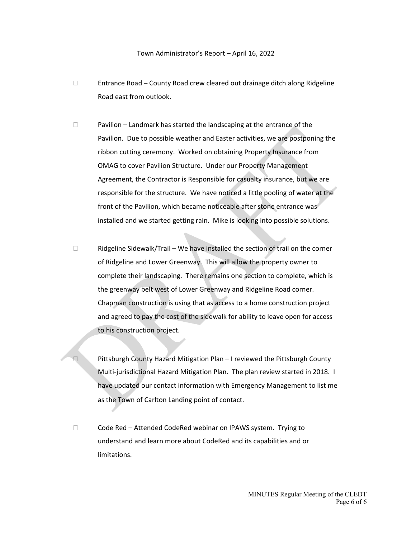#### Town Administrator's Report – April 16, 2022

- $\Box$  Entrance Road County Road crew cleared out drainage ditch along Ridgeline Road east from outlook.
- $\Box$  Pavilion Landmark has started the landscaping at the entrance of the Pavilion. Due to possible weather and Easter activities, we are postponing the ribbon cutting ceremony. Worked on obtaining Property Insurance from OMAG to cover Pavilion Structure. Under our Property Management Agreement, the Contractor is Responsible for casualty insurance, but we are responsible for the structure. We have noticed a little pooling of water at the front of the Pavilion, which became noticeable after stone entrance was installed and we started getting rain. Mike is looking into possible solutions.
- $\Box$  Ridgeline Sidewalk/Trail We have installed the section of trail on the corner of Ridgeline and Lower Greenway. This will allow the property owner to complete their landscaping. There remains one section to complete, which is the greenway belt west of Lower Greenway and Ridgeline Road corner. Chapman construction is using that as access to a home construction project and agreed to pay the cost of the sidewalk for ability to leave open for access to his construction project.
- □ Pittsburgh County Hazard Mitigation Plan I reviewed the Pittsburgh County Multi-jurisdictional Hazard Mitigation Plan. The plan review started in 2018. I have updated our contact information with Emergency Management to list me as the Town of Carlton Landing point of contact.
- □ Code Red Attended CodeRed webinar on IPAWS system. Trying to understand and learn more about CodeRed and its capabilities and or limitations.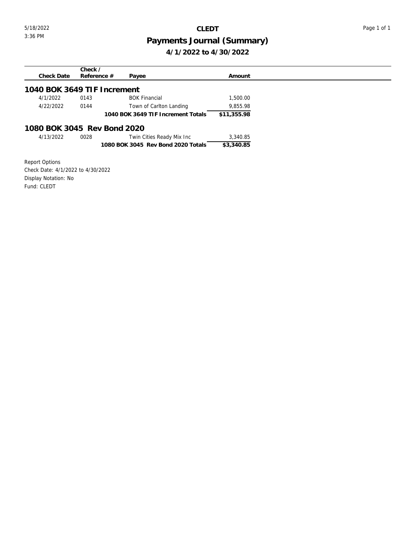## <span id="page-8-0"></span>5/18/2022 **CLEDT** Page 1 of 1

## 3:36 PM **Payments Journal (Summary) 4/1/2022 to 4/30/2022**

| Check $\angle$                                             |             |
|------------------------------------------------------------|-------------|
| Reference $#$<br>Check Date<br>Payee                       | Amount      |
| 1040 BOK 3649 TIF Increment                                |             |
| <b>BOK Financial</b><br>4/1/2022<br>0143                   | 1,500.00    |
| 4/22/2022<br>0144<br>Town of Carlton Landing               | 9,855.98    |
| 1040 BOK 3649 TIF Increment Totals                         | \$11,355.98 |
| 1080 BOK 3045 Rev Bond 2020                                |             |
| 4/13/2022<br>Twin Cities Ready Mix Inc<br>0028             | 3,340.85    |
| 1080 BOK 3045 Rev Bond 2020 Totals                         | \$3,340.85  |
|                                                            |             |
| <b>Report Options</b><br>Check Dete: 1/1/2022 to 1/20/2022 |             |

Check Date: 4/1/2022 to 4/30/2022 Display Notation: No Fund: CLEDT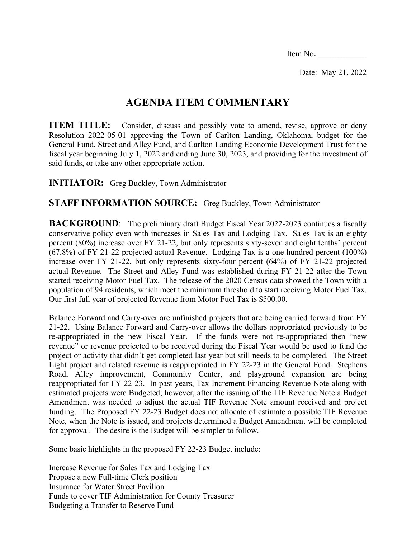Item No**.** \_\_\_\_\_\_\_\_\_\_\_\_

Date: May 21, 2022

## **AGENDA ITEM COMMENTARY**

<span id="page-9-0"></span>**ITEM TITLE:** Consider, discuss and possibly vote to amend, revise, approve or deny Resolution 2022-05-01 approving the Town of Carlton Landing, Oklahoma, budget for the General Fund, Street and Alley Fund, and Carlton Landing Economic Development Trust for the fiscal year beginning July 1, 2022 and ending June 30, 2023, and providing for the investment of said funds, or take any other appropriate action.

**INITIATOR:** Greg Buckley, Town Administrator

## **STAFF INFORMATION SOURCE:** Greg Buckley, Town Administrator

**BACKGROUND:** The preliminary draft Budget Fiscal Year 2022-2023 continues a fiscally conservative policy even with increases in Sales Tax and Lodging Tax. Sales Tax is an eighty percent (80%) increase over FY 21-22, but only represents sixty-seven and eight tenths' percent (67.8%) of FY 21-22 projected actual Revenue. Lodging Tax is a one hundred percent (100%) increase over FY 21-22, but only represents sixty-four percent (64%) of FY 21-22 projected actual Revenue. The Street and Alley Fund was established during FY 21-22 after the Town started receiving Motor Fuel Tax. The release of the 2020 Census data showed the Town with a population of 94 residents, which meet the minimum threshold to start receiving Motor Fuel Tax. Our first full year of projected Revenue from Motor Fuel Tax is \$500.00.

Balance Forward and Carry-over are unfinished projects that are being carried forward from FY 21-22. Using Balance Forward and Carry-over allows the dollars appropriated previously to be re-appropriated in the new Fiscal Year. If the funds were not re-appropriated then "new revenue" or revenue projected to be received during the Fiscal Year would be used to fund the project or activity that didn't get completed last year but still needs to be completed. The Street Light project and related revenue is reappropriated in FY 22-23 in the General Fund. Stephens Road, Alley improvement, Community Center, and playground expansion are being reappropriated for FY 22-23. In past years, Tax Increment Financing Revenue Note along with estimated projects were Budgeted; however, after the issuing of the TIF Revenue Note a Budget Amendment was needed to adjust the actual TIF Revenue Note amount received and project funding. The Proposed FY 22-23 Budget does not allocate of estimate a possible TIF Revenue Note, when the Note is issued, and projects determined a Budget Amendment will be completed for approval. The desire is the Budget will be simpler to follow.

Some basic highlights in the proposed FY 22-23 Budget include:

Increase Revenue for Sales Tax and Lodging Tax Propose a new Full-time Clerk position Insurance for Water Street Pavilion Funds to cover TIF Administration for County Treasurer Budgeting a Transfer to Reserve Fund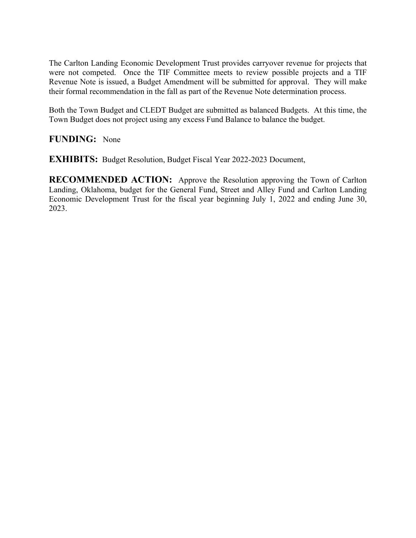The Carlton Landing Economic Development Trust provides carryover revenue for projects that were not competed. Once the TIF Committee meets to review possible projects and a TIF Revenue Note is issued, a Budget Amendment will be submitted for approval. They will make their formal recommendation in the fall as part of the Revenue Note determination process.

Both the Town Budget and CLEDT Budget are submitted as balanced Budgets. At this time, the Town Budget does not project using any excess Fund Balance to balance the budget.

## **FUNDING:** None

**EXHIBITS:** Budget Resolution, Budget Fiscal Year 2022-2023 Document,

**RECOMMENDED ACTION:** Approve the Resolution approving the Town of Carlton Landing, Oklahoma, budget for the General Fund, Street and Alley Fund and Carlton Landing Economic Development Trust for the fiscal year beginning July 1, 2022 and ending June 30, 2023.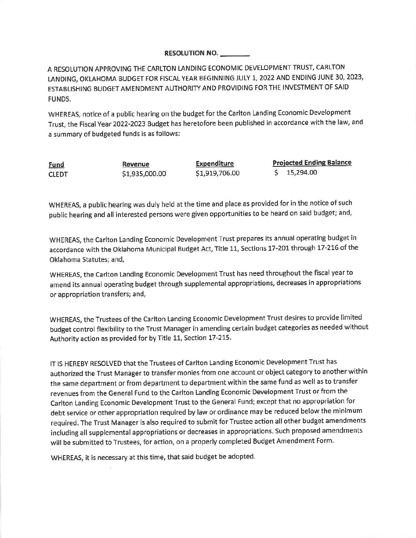### **RESOLUTION NO.**

A RESOLUTION APPROVING THE CARLTON LANDING ECONOMIC DEVELOPMENT TRUST, CARLTON LANDING, OKLAHOMA BUDGET FOR FISCAL YEAR BEGINNING JULY 1, 2022 AND ENDING JUNE 30, 2023, ESTABLISHING BUDGET AMENDMENT AUTHORITY AND PROVIDING FOR THE INVESTMENT OF SAID FUNDS.

WHEREAS, notice of a public hearing on the budget for the Carlton Landing Economic Development Trust, the Fiscal Year 2022-2023 Budget has heretofore been published in accordance with the law, and a summary of budgeted funds is as follows:

Fund **CLEDT** 

Revenue \$1,935,000.00 Expenditure \$1,919,706.00 **Projected Ending Balance**  $$15,294.00$ 

WHEREAS, a public hearing was duly held at the time and place as provided for in the notice of such public hearing and all interested persons were given opportunities to be heard on said budget; and,

WHEREAS, the Carlton Landing Economic Development Trust prepares its annual operating budget in accordance with the Oklahoma Municipal Budget Act, Title 11, Sections 17-201 through 17-216 of the Oklahoma Statutes; and,

WHEREAS, the Carlton Landing Economic Development Trust has need throughout the fiscal year to amend its annual operating budget through supplemental appropriations, decreases in appropriations or appropriation transfers; and,

WHEREAS, the Trustees of the Carlton Landing Economic Development Trust desires to provide limited budget control flexibility to the Trust Manager in amending certain budget categories as needed without Authority action as provided for by Title 11, Section 17-215.

IT IS HEREBY RESOLVED that the Trustees of Carlton Landing Economic Development Trust has authorized the Trust Manager to transfer monies from one account or object category to another within the same department or from department to department within the same fund as well as to transfer revenues from the General Fund to the Carlton Landing Economic Development Trust or from the Carlton Landing Economic Development Trust to the General Fund; except that no appropriation for debt service or other appropriation required by law or ordinance may be reduced below the minimum required. The Trust Manager is also required to submit for Trustee action all other budget amendments including all supplemental appropriations or decreases in appropriations. Such proposed amendments will be submitted to Trustees, for action, on a properly completed Budget Amendment Form.

WHEREAS, it is necessary at this time, that said budget be adopted.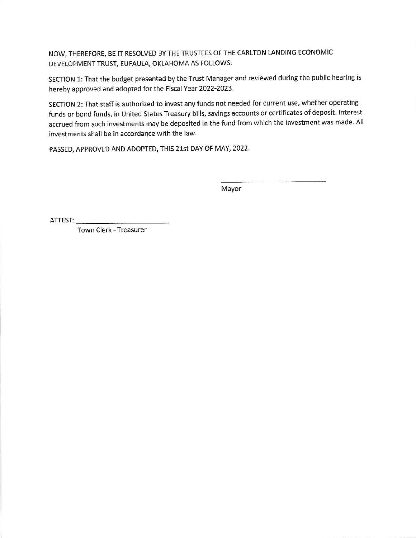NOW, THEREFORE, BE IT RESOLVED BY THE TRUSTEES OF THE CARLTON LANDING ECONOMIC DEVELOPMENT TRUST, EUFAULA, OKLAHOMA AS FOLLOWS:

SECTION 1: That the budget presented by the Trust Manager and reviewed during the public hearing is hereby approved and adopted for the Fiscal Year 2022-2023.

SECTION 2: That staff is authorized to invest any funds not needed for current use, whether operating funds or bond funds, in United States Treasury bills, savings accounts or certificates of deposit. Interest accrued from such investments may be deposited in the fund from which the investment was made. All investments shall be in accordance with the law.

PASSED, APPROVED AND ADOPTED, THIS 21st DAY OF MAY, 2022.

Mayor

Town Clerk - Treasurer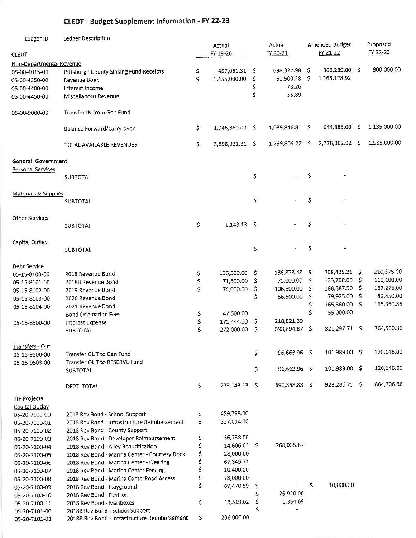## **CLEDT - Budget Supplement Information - FY 22-23**

| Ledger ID                 | Ledger Description                            |          | Actual<br>FY 19-20 |     | Actual<br>FY 20-21 |    | Amended Budget<br>FY 21-22 |    | Proposed<br>FY 22-23 |
|---------------------------|-----------------------------------------------|----------|--------------------|-----|--------------------|----|----------------------------|----|----------------------|
| <b>CLEDT</b>              |                                               |          |                    |     |                    |    |                            |    |                      |
| Non-Departmental Revenue  |                                               |          | 497,061.31 \$      |     | 698,327.98 \$      |    | 868,289.00 \$              |    | 800,000.00           |
| 05-00-4015-00             | Pittsburgh County Sinking Fund Receipts       | \$<br>\$ | 1,455,000.00       | \$  | 61,500.28 \$       |    | 1,265,128.92               |    |                      |
| 05-00-4350-00             | Revenue Bond                                  |          |                    | \$  | 78.26              |    |                            |    |                      |
| 05-00-4400-00             | Interest Income                               |          |                    | \$  | 55.89              |    |                            |    |                      |
| 05-00-4450-00             | Miscellanous Revenue                          |          |                    |     |                    |    |                            |    |                      |
| 05-00-9000-00             | Transfer IN from Gen Fund                     |          |                    |     |                    |    |                            |    |                      |
|                           | Balance Forward/Carry-over                    | \$       | 1,946,860.00 \$    |     | 1,039,846.81 \$    |    | 644,885.00                 | \$ | 1,135,000.00         |
|                           | TOTAL AVAILABLE REVENUES                      | \$       | 3,898,921.31 \$    |     | 1,799,809.22 \$    |    | 2,778,302.92               | -S | 1,935,000.00         |
| <b>General Government</b> |                                               |          |                    |     |                    |    |                            |    |                      |
| <b>Personal Services</b>  | <b>SUBTOTAL</b>                               |          |                    | \$  |                    | \$ |                            |    |                      |
| Materials & Supplies      |                                               |          |                    |     |                    |    |                            |    |                      |
|                           | SUBTOTAL                                      |          |                    | \$  |                    | \$ |                            |    |                      |
| <b>Other Services</b>     | <b>SUBTOTAL</b>                               | \$       | $1,143.13$ \$      |     |                    | \$ |                            |    |                      |
| Capital Outlay            |                                               |          |                    |     |                    |    |                            |    |                      |
|                           | <b>SUBTOTAL</b>                               |          |                    | \$  |                    | \$ |                            |    |                      |
| Debt Service              |                                               |          |                    |     |                    |    |                            |    |                      |
| 05-15-8100-00             | 2018 Revenue Bond                             | \$       | 126,500.00         | -S  | 136,873.48         | \$ | 208,425.21 \$              |    | 210,375.00           |
| 05-15-8101-00             | 2018B Revenue Bond                            | \$       | 71,500.00          | \$  | 75,000.00          | \$ | 123,700.00 \$              |    | 119,100.00           |
| 05-15-8102-00             | 2019 Revenue Bond                             | \$       | 74,000.00          | \$  | 106,500.00         | \$ | 188,887.50                 | -S | 187,275.00           |
| 05-15-8103-00             | 2020 Revenue Bond                             |          |                    | \$  | 56,500.00          | \$ | 79,925.00 \$               |    | 82,450.00            |
| 05-15-8104-00             | 2021 Revenue Bond                             |          |                    |     |                    | \$ | 165,360.00 \$              |    | 165,360.36           |
|                           | <b>Bond Origination Fees</b>                  | \$       | 47,500.00          |     |                    | Ś  | 55,000.00                  |    |                      |
| 05-15-8500-00             | Interest Expense                              | \$       | 171,444.33         | - S | 218,821.39         |    |                            |    |                      |
|                           | SUBTOTAL                                      | \$       | 272,000.00         | \$, | 593,694.87         | \$ | 821,297.71 \$              |    | 764,560.36           |
| Transfers - Out           |                                               |          |                    |     |                    |    |                            |    |                      |
| 05-15-9500-00             | Transfer OUT to Gen Fund                      |          |                    | \$  | 96,663.96 \$       |    | 101,989.00 \$              |    | 120,146.00           |
| 05-15-9503-00             | Transfer OUT to RESERVE Fund                  |          |                    |     |                    |    |                            |    |                      |
|                           | <b>SUBTOTAL</b>                               |          |                    | \$  | 96,663.96 \$       |    | 101,989.00 \$              |    | 120,146.00           |
|                           | DEPT. TOTAL                                   | \$       | 273,143.13 \$      |     | 690,358.83 \$      |    | 923,286.71 \$              |    | 884,706.36           |
| <b>TIF Projects</b>       |                                               |          |                    |     |                    |    |                            |    |                      |
| Capital Outlay            |                                               |          |                    |     |                    |    |                            |    |                      |
| 05-20-7100-00             | 2018 Rev Bond - School Support                | \$       | 459,798.00         |     |                    |    |                            |    |                      |
| 05-20-7100-01             | 2018 Rev Bond - Infrastructure Reimbersement  | \$       | 337,614.00         |     |                    |    |                            |    |                      |
| 05-20-7100-02             | 2018 Rev Bond - County Support                |          |                    |     |                    |    |                            |    |                      |
| 05-20-7100-03             | 2018 Rev Bond - Developer Reimbursement       | \$       | 36,238.00          |     |                    |    |                            |    |                      |
| 05-20-7100-04             | 2018 Rev Bond - Alley Beautification          | \$       | 14,606.02 \$       |     | 268,035.87         |    |                            |    |                      |
| 05-20-7100-05             | 2018 Rev Bond - Marina Center - Courtesy Dock | \$       | 28,000.00          |     |                    |    |                            |    |                      |
| 05-20-7100-06             | 2018 Rev Bond - Marina Center - Clearing      | \$       | 67,345.71          |     |                    |    |                            |    |                      |
| 05-20-7100-07             | 2018 Rev Bond - Marina Center Fencing         | \$       | 10,400.00          |     |                    |    |                            |    |                      |
| 05-20-7100-08             | 2018 Rev Bond - Marina CenterRoad Access      | \$       | 78,000.00          |     |                    |    |                            |    |                      |
| 05-20-7100-09             | 2018 Rev Bond - Playground                    | \$       | 69,470.59          | Ş   |                    | \$ | 10,000.00                  |    |                      |
| 05-20-7100-10             | 2018 Rev Bond - Pavilion                      |          |                    | \$  | 26,920.00          |    |                            |    |                      |
| 05-20-7100-11             | 2018 Rev Bond - Mailboxes                     | \$       | 13,519.02          | \$  | 1,354.69           |    |                            |    |                      |
| 05-20-7101-00             | 2018B Rev Bond - School Support               |          |                    |     |                    |    |                            |    |                      |
| 05-20-7101-01             | 2018B Rev Bond - Infrastructure Reimbursement | \$       | 206,000.00         |     |                    |    |                            |    |                      |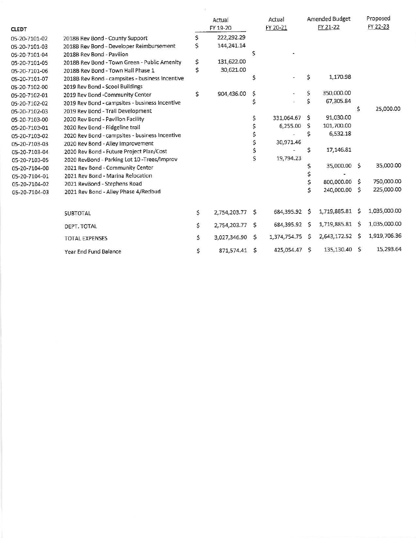| <b>CLEDT</b>  |                                                 | Actual<br>FY 19-20 |    | Actual<br>FY 20-21 |    | <b>Amended Budget</b><br>FY 21-22 |   | Proposed<br>FY 22-23 |
|---------------|-------------------------------------------------|--------------------|----|--------------------|----|-----------------------------------|---|----------------------|
| 05-20-7101-02 | 2018B Rev Bond - County Support                 | 222,292.29         |    |                    |    |                                   |   |                      |
| 05-20-7101-03 | 2018B Rev Bond - Developer Reimbursement        | 144,241.14         |    |                    |    |                                   |   |                      |
| 05-20-7101-04 | 2018B Rev Bond - Pavilion                       |                    |    |                    |    |                                   |   |                      |
| 05-20-7101-05 | 2018B Rev Bond - Town Green - Public Amenity    | \$<br>131,622.00   |    |                    |    |                                   |   |                      |
| 05-20-7101-06 | 2018B Rev Bond - Town Hall Phase 1              | \$<br>30,621.00    |    |                    |    |                                   |   |                      |
| 05-20-7101-07 | 2018B Rev Bond - campsites - business Incentive |                    | s  |                    | \$ | 1,170.98                          |   |                      |
| 05-20-7102-00 | 2019 Rev Bond - Scool Buildings                 |                    |    |                    |    |                                   |   |                      |
| 05-20-7102-01 | 2019 Rev Bond -Community Center                 | \$<br>904,436.00   | \$ |                    | \$ | 350,000.00                        |   |                      |
| 05-20-7102-02 | 2019 Rev Bond - campsites - business Incentive  |                    | \$ |                    | Ś  | 67,305.84                         |   |                      |
| 05-20-7102-03 | 2019 Rev Bond - Trail Development               |                    |    |                    |    |                                   | S | 25,000.00            |
| 05-20-7103-00 | 2020 Rev Bond - Pavilion Facility               |                    |    | 331,064.67 \$      |    | 91,030.00                         |   |                      |
| 05-20-7103-01 | 2020 Rev Bond - Ridgeline trail                 |                    |    | $6,255.00$ \$      |    | 101,700.00                        |   |                      |
| 05-20-7103-02 | 2020 Rev Bond - campsites - business Incentive  |                    |    |                    | \$ | 6,532.18                          |   |                      |
| 05-20-7103-03 | 2020 Rev Bond - Alley Improvement               |                    |    | 30,971.46          |    |                                   |   |                      |
| 05-20-7103-04 | 2020 Rev Bond - Future Project Plan/Cost        |                    |    |                    | Ŝ  | 17,146.81                         |   |                      |
| 05-20-7103-05 | 2020 RevBond - Parking Lot 10-Trees/Improv      |                    |    | 19,794.23          |    |                                   |   |                      |
| 05-20-7104-00 | 2021 Rev Bond - Community Center                |                    |    |                    |    | 35,000.00 \$                      |   | 35,000.00            |
| 05-20-7104-01 | 2021 Rev Bond - Marina Relocation               |                    |    |                    |    |                                   |   |                      |
| 05-20-7104-02 | 2021 RevBond - Stephens Road                    |                    |    |                    |    | 800,000.00                        | s | 750,000.00           |
| 05-20-7104-03 | 2021 Rev Bond - Alley Phase 4/Redbud            |                    |    |                    |    | 240,000.00                        | S | 225,000.00           |
|               | <b>SUBTOTAL</b>                                 | \$<br>2,754,203.77 | S  | 684,395.92         | s  | 1,719,885.81                      | Ŝ | 1,035,000.00         |
|               | DEPT. TOTAL                                     | \$<br>2,754,203.77 | S  | 684,395.92         | s  | 1,719,885.81                      | Ş | 1,035,000.00         |
|               | <b>TOTAL EXPENSES</b>                           | \$<br>3,027,346.90 | \$ | 1,374,754.75       | s  | 2,643,172.52                      | S | 1,919,706.36         |

 $\frac{\langle \Psi \rangle}{\langle \psi \rangle}$ 

 $$371,574.41 \text{ } $425,054.47 \text{ } $135,130.40 \text{ } $15,293.64$ Year End Fund Balance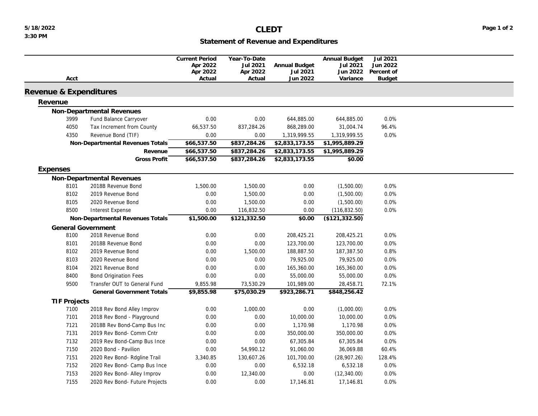## **Statement of Revenue and Expenditures**

<span id="page-15-0"></span>

|                        |                                  | <b>Current Period</b> | Year-To-Date |                      | Annual Budget         | Jul 2021      |  |
|------------------------|----------------------------------|-----------------------|--------------|----------------------|-----------------------|---------------|--|
|                        |                                  | Apr 2022              | Jul 2021     | Annual Budget        | Jul 2021              | Jun 2022      |  |
|                        |                                  | Apr 2022              | Apr 2022     | Jul 2021<br>Jun 2022 | Jun 2022              | Percent of    |  |
| Acct                   |                                  | Actual                | Actual       |                      | Variance              | <b>Budget</b> |  |
| Revenue & Expenditures |                                  |                       |              |                      |                       |               |  |
| Revenue                |                                  |                       |              |                      |                       |               |  |
|                        | Non-Departmental Revenues        |                       |              |                      |                       |               |  |
| 3999                   | Fund Balance Carryover           | 0.00                  | 0.00         | 644,885.00           | 644,885.00            | 0.0%          |  |
| 4050                   | Tax Increment from County        | 66,537.50             | 837,284.26   | 868,289.00           | 31,004.74             | 96.4%         |  |
| 4350                   | Revenue Bond (TIF)               | 0.00                  | 0.00         | 1,319,999.55         | 1,319,999.55          | 0.0%          |  |
|                        | Non-Departmental Revenues Totals | \$66,537.50           | \$837,284.26 | \$2,833,173.55       | \$1,995,889.29        |               |  |
|                        | Revenue                          | \$66,537.50           | \$837,284.26 | \$2,833,173.55       | \$1,995,889.29        |               |  |
|                        | <b>Gross Profit</b>              | \$66,537.50           | \$837,284.26 | \$2,833,173.55       | \$0.00                |               |  |
| Expenses               |                                  |                       |              |                      |                       |               |  |
|                        | Non-Departmental Revenues        |                       |              |                      |                       |               |  |
| 8101                   | 2018B Revenue Bond               | 1,500.00              | 1,500.00     | 0.00                 | (1,500.00)            | 0.0%          |  |
| 8102                   | 2019 Revenue Bond                | 0.00                  | 1,500.00     | 0.00                 | (1,500.00)            | 0.0%          |  |
| 8105                   | 2020 Revenue Bond                | 0.00                  | 1,500.00     | 0.00                 | (1,500.00)            | 0.0%          |  |
| 8500                   | <b>Interest Expense</b>          | 0.00                  | 116,832.50   | 0.00                 | (116, 832.50)         | 0.0%          |  |
|                        | Non-Departmental Revenues Totals | \$1,500.00            | \$121,332.50 | \$0.00               | (\$121,332.50)        |               |  |
|                        | <b>General Government</b>        |                       |              |                      |                       |               |  |
| 8100                   | 2018 Revenue Bond                | 0.00                  | 0.00         | 208,425.21           | 208,425.21            | 0.0%          |  |
| 8101                   | 2018B Revenue Bond               | 0.00                  | 0.00         | 123,700.00           | 123,700.00            | 0.0%          |  |
| 8102                   | 2019 Revenue Bond                | 0.00                  | 1,500.00     | 188,887.50           | 187,387.50            | 0.8%          |  |
| 8103                   | 2020 Revenue Bond                | 0.00                  | 0.00         | 79,925.00            | 79,925.00             | 0.0%          |  |
| 8104                   | 2021 Revenue Bond                | 0.00                  | 0.00         | 165,360.00           | 165,360.00            | 0.0%          |  |
| 8400                   | <b>Bond Origination Fees</b>     | 0.00                  | 0.00         | 55,000.00            | 55,000.00             | 0.0%          |  |
| 9500                   | Transfer OUT to General Fund     | 9,855.98              | 73,530.29    | 101,989.00           | 28,458.71             | 72.1%         |  |
|                        | General Government Totals        | \$9,855.98            | \$75,030.29  | \$923,286.71         | \$848,256.42          |               |  |
|                        |                                  |                       |              |                      |                       |               |  |
| <b>TIF Projects</b>    |                                  |                       |              |                      |                       | 0.0%          |  |
| 7100                   | 2018 Rev Bond Alley Improv       | 0.00                  | 1,000.00     | 0.00                 | (1,000.00)            | 0.0%          |  |
| 7101<br>7121           | 2018 Rev Bond - Playground       | 0.00                  | 0.00         | 10,000.00            | 10,000.00<br>1,170.98 | 0.0%          |  |
|                        | 2018B Rev Bond-Camp Bus Inc      | 0.00                  | 0.00         | 1,170.98             |                       |               |  |
| 7131                   | 2019 Rev Bond- Comm Cntr         | 0.00                  | 0.00         | 350,000.00           | 350,000.00            | 0.0%          |  |
| 7132                   | 2019 Rev Bond-Camp Bus Ince      | 0.00                  | 0.00         | 67,305.84            | 67,305.84             | 0.0%          |  |
| 7150                   | 2020 Bond - Pavilion             | 0.00                  | 54,990.12    | 91,060.00            | 36,069.88             | 60.4%         |  |
| 7151                   | 2020 Rev Bond- Rdgline Trail     | 3,340.85              | 130,607.26   | 101,700.00           | (28,907.26)           | 128.4%        |  |
| 7152                   | 2020 Rev Bond- Camp Bus Ince     | 0.00                  | 0.00         | 6,532.18             | 6,532.18              | 0.0%          |  |
| 7153                   | 2020 Rev Bond- Alley Improv      | 0.00                  | 12,340.00    | 0.00                 | (12, 340.00)          | 0.0%          |  |
| 7155                   | 2020 Rev Bond- Future Projects   | 0.00                  | 0.00         | 17,146.81            | 17,146.81             | 0.0%          |  |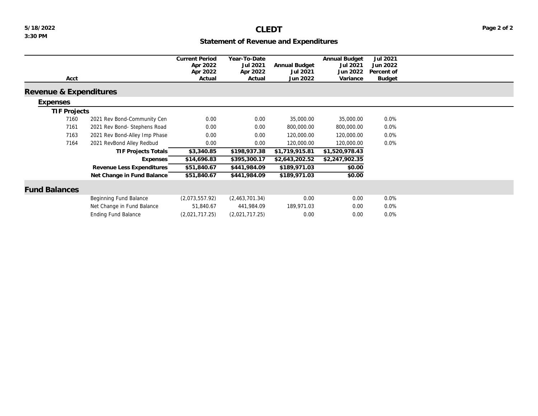## **Statement of Revenue and Expenditures**

|                        |                               | <b>Current Period</b><br>Apr 2022 | Year-To-Date         | Annual Budget  | Annual Budget<br>Jul 2021 | Jul 2021<br>Jun 2022 |  |
|------------------------|-------------------------------|-----------------------------------|----------------------|----------------|---------------------------|----------------------|--|
|                        |                               | Apr 2022                          | Jul 2021<br>Apr 2022 | Jul 2021       | Jun 2022                  | Percent of           |  |
| Acct                   |                               | Actual                            | Actual               | Jun 2022       | Variance                  | <b>Budget</b>        |  |
|                        |                               |                                   |                      |                |                           |                      |  |
| Revenue & Expenditures |                               |                                   |                      |                |                           |                      |  |
| Expenses               |                               |                                   |                      |                |                           |                      |  |
| TIF Projects           |                               |                                   |                      |                |                           |                      |  |
| 7160                   | 2021 Rev Bond-Community Cen   | 0.00                              | 0.00                 | 35,000.00      | 35,000.00                 | 0.0%                 |  |
| 7161                   | 2021 Rev Bond- Stephens Road  | 0.00                              | 0.00                 | 800,000.00     | 800,000.00                | 0.0%                 |  |
| 7163                   | 2021 Rev Bond-Alley Imp Phase | 0.00                              | 0.00                 | 120,000.00     | 120,000.00                | $0.0\%$              |  |
| 7164                   | 2021 RevBond Alley Redbud     | 0.00                              | 0.00                 | 120,000.00     | 120,000.00                | 0.0%                 |  |
|                        | TIF Projects Totals           | \$3,340.85                        | \$198,937.38         | \$1,719,915.81 | \$1,520,978.43            |                      |  |
|                        | Expenses                      | \$14,696.83                       | \$395,300.17         | \$2,643,202.52 | \$2,247,902.35            |                      |  |
|                        | Revenue Less Expenditures     | \$51,840.67                       | \$441,984.09         | \$189,971.03   | \$0.00                    |                      |  |
|                        | Net Change in Fund Balance    | \$51,840.67                       | \$441,984.09         | \$189,971.03   | \$0.00                    |                      |  |
|                        |                               |                                   |                      |                |                           |                      |  |
| <b>Fund Balances</b>   |                               |                                   |                      |                |                           |                      |  |
|                        | Beginning Fund Balance        | (2,073,557.92)                    | (2,463,701.34)       | 0.00           | 0.00                      | 0.0%                 |  |
|                        | Net Change in Fund Balance    | 51,840.67                         | 441,984.09           | 189,971.03     | 0.00                      | $0.0\%$              |  |
|                        | <b>Ending Fund Balance</b>    | (2,021,717.25)                    | (2,021,717.25)       | 0.00           | 0.00                      | 0.0%                 |  |